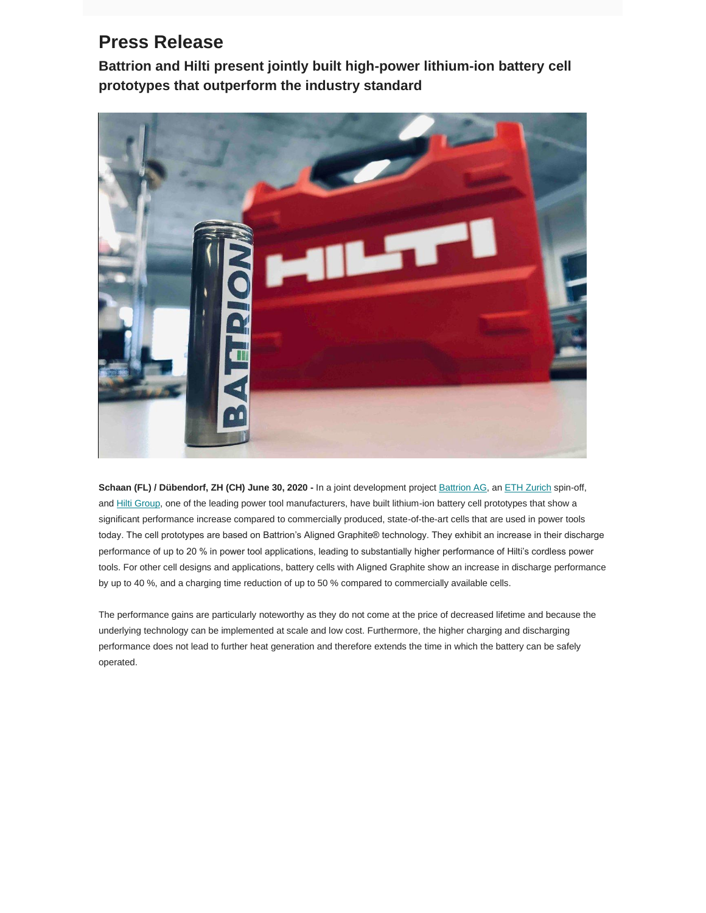## **Press Release**

**Battrion and Hilti present jointly built high-power lithium-ion battery cell prototypes that outperform the industry standard**



**Schaan (FL) / Dübendorf, ZH (CH) June 30, 2020 -** In a joint development project [Battrion AG,](https://battrion.us3.list-manage.com/track/click?u=eafa9268d1625764b273dfd42&id=cf4a70ccbb&e=aba8fa08ea) an [ETH Zurich](https://battrion.us3.list-manage.com/track/click?u=eafa9268d1625764b273dfd42&id=4d5d7f2304&e=aba8fa08ea) spin-off, and [Hilti Group,](https://battrion.us3.list-manage.com/track/click?u=eafa9268d1625764b273dfd42&id=d9b01590f2&e=aba8fa08ea) one of the leading power tool manufacturers, have built lithium-ion battery cell prototypes that show a significant performance increase compared to commercially produced, state-of-the-art cells that are used in power tools today. The cell prototypes are based on Battrion's Aligned Graphite® technology. They exhibit an increase in their discharge performance of up to 20 % in power tool applications, leading to substantially higher performance of Hilti's cordless power tools. For other cell designs and applications, battery cells with Aligned Graphite show an increase in discharge performance by up to 40 %, and a charging time reduction of up to 50 % compared to commercially available cells.

The performance gains are particularly noteworthy as they do not come at the price of decreased lifetime and because the underlying technology can be implemented at scale and low cost. Furthermore, the higher charging and discharging performance does not lead to further heat generation and therefore extends the time in which the battery can be safely operated.